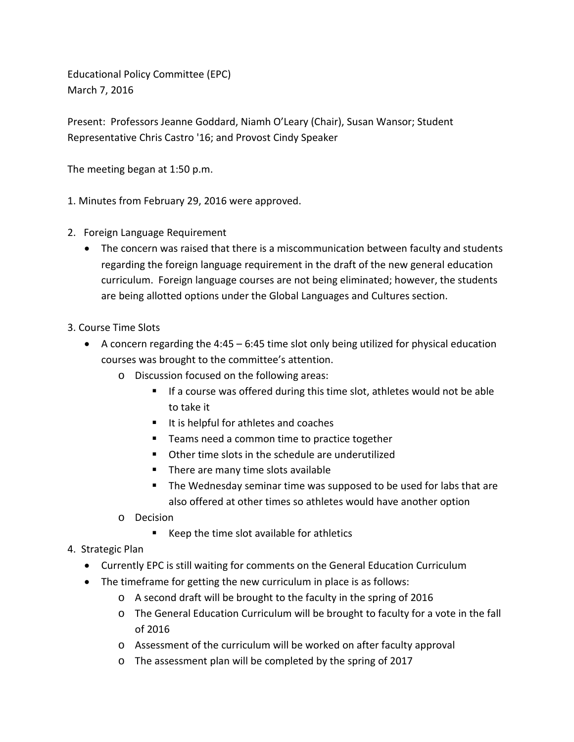Educational Policy Committee (EPC) March 7, 2016

Present: Professors Jeanne Goddard, Niamh O'Leary (Chair), Susan Wansor; Student Representative Chris Castro '16; and Provost Cindy Speaker

The meeting began at 1:50 p.m.

1. Minutes from February 29, 2016 were approved.

- 2. Foreign Language Requirement
	- The concern was raised that there is a miscommunication between faculty and students regarding the foreign language requirement in the draft of the new general education curriculum. Foreign language courses are not being eliminated; however, the students are being allotted options under the Global Languages and Cultures section.
- 3. Course Time Slots
	- A concern regarding the 4:45 6:45 time slot only being utilized for physical education courses was brought to the committee's attention.
		- o Discussion focused on the following areas:
			- If a course was offered during this time slot, athletes would not be able to take it
			- It is helpful for athletes and coaches
			- Teams need a common time to practice together
			- Other time slots in the schedule are underutilized
			- There are many time slots available
			- **The Wednesday seminar time was supposed to be used for labs that are** also offered at other times so athletes would have another option
		- o Decision
			- Keep the time slot available for athletics
- 4. Strategic Plan
	- Currently EPC is still waiting for comments on the General Education Curriculum
	- The timeframe for getting the new curriculum in place is as follows:
		- o A second draft will be brought to the faculty in the spring of 2016
		- o The General Education Curriculum will be brought to faculty for a vote in the fall of 2016
		- o Assessment of the curriculum will be worked on after faculty approval
		- o The assessment plan will be completed by the spring of 2017